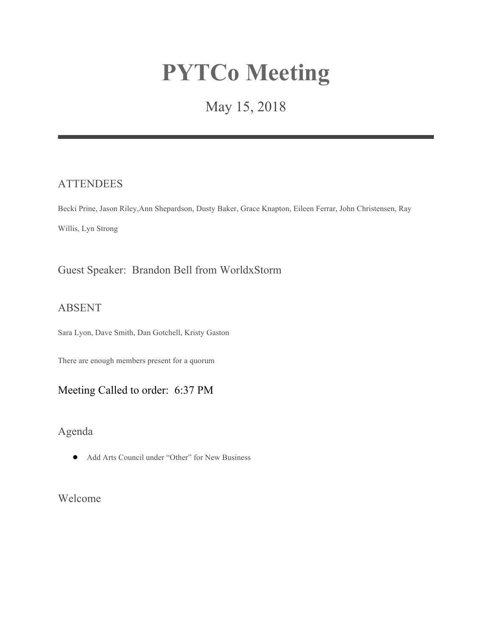# **PYTCo Meeting**

## May 15, 2018

## **ATTENDEES**

Becki Prine, Jason Riley,Ann Shepardson, Dusty Baker, Grace Knapton, Eileen Ferrar, John Christensen, Ray Willis, Lyn Strong

## Guest Speaker: Brandon Bell from WorldxStorm

#### ABSENT

Sara Lyon, Dave Smith, Dan Gotchell, Kristy Gaston

There are enough members present for a quorum

## Meeting Called to order: 6:37 PM

Agenda

● Add Arts Council under "Other" for New Business

Welcome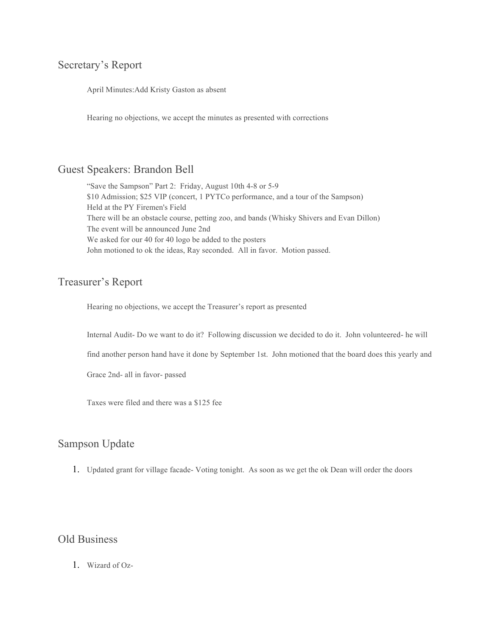## Secretary's Report

April Minutes:Add Kristy Gaston as absent

Hearing no objections, we accept the minutes as presented with corrections

#### Guest Speakers: Brandon Bell

"Save the Sampson" Part 2: Friday, August 10th 4-8 or 5-9 \$10 Admission; \$25 VIP (concert, 1 PYTCo performance, and a tour of the Sampson) Held at the PY Firemen's Field There will be an obstacle course, petting zoo, and bands (Whisky Shivers and Evan Dillon) The event will be announced June 2nd We asked for our 40 for 40 logo be added to the posters John motioned to ok the ideas, Ray seconded. All in favor. Motion passed.

#### Treasurer's Report

Hearing no objections, we accept the Treasurer's report as presented

Internal Audit- Do we want to do it? Following discussion we decided to do it. John volunteered- he will

find another person hand have it done by September 1st. John motioned that the board does this yearly and

Grace 2nd- all in favor- passed

Taxes were filed and there was a \$125 fee

## Sampson Update

1. Updated grant for village facade- Voting tonight. As soon as we get the ok Dean will order the doors

#### Old Business

1. Wizard of Oz-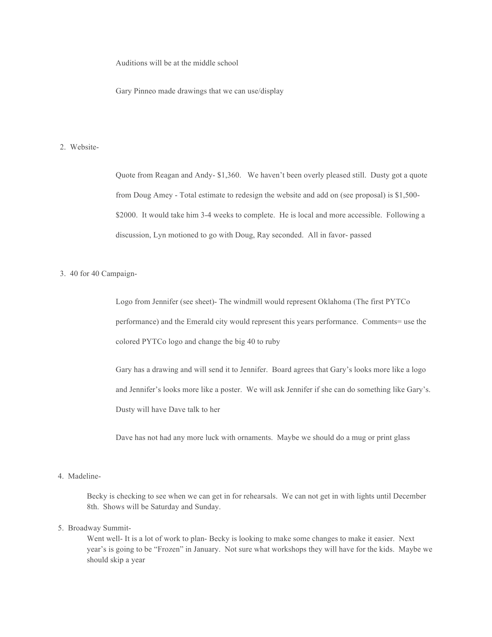Auditions will be at the middle school

Gary Pinneo made drawings that we can use/display

#### 2. Website-

Quote from Reagan and Andy- \$1,360. We haven't been overly pleased still. Dusty got a quote from Doug Amey - Total estimate to redesign the website and add on (see proposal) is \$1,500- \$2000. It would take him 3-4 weeks to complete. He is local and more accessible. Following a discussion, Lyn motioned to go with Doug, Ray seconded. All in favor- passed

#### 3. 40 for 40 Campaign-

Logo from Jennifer (see sheet)- The windmill would represent Oklahoma (The first PYTCo performance) and the Emerald city would represent this years performance. Comments= use the colored PYTCo logo and change the big 40 to ruby

Gary has a drawing and will send it to Jennifer. Board agrees that Gary's looks more like a logo and Jennifer's looks more like a poster. We will ask Jennifer if she can do something like Gary's. Dusty will have Dave talk to her

Dave has not had any more luck with ornaments. Maybe we should do a mug or print glass

#### 4. Madeline-

Becky is checking to see when we can get in for rehearsals. We can not get in with lights until December 8th. Shows will be Saturday and Sunday.

#### 5. Broadway Summit-

Went well- It is a lot of work to plan-Becky is looking to make some changes to make it easier. Next year's is going to be "Frozen" in January. Not sure what workshops they will have for the kids. Maybe we should skip a year